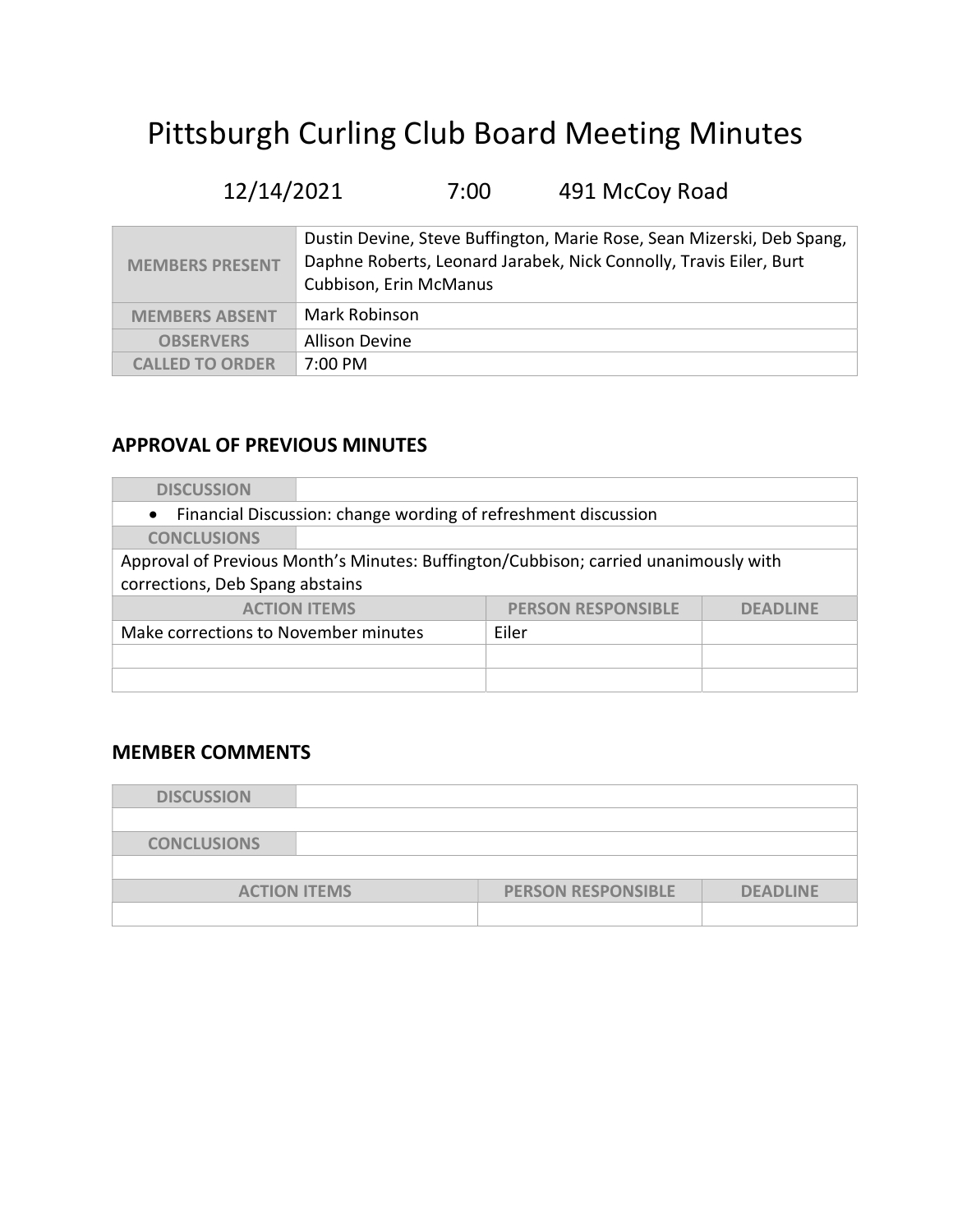# Pittsburgh Curling Club Board Meeting Minutes

# 12/14/2021 7:00 491 McCoy Road

| <b>MEMBERS PRESENT</b> | Dustin Devine, Steve Buffington, Marie Rose, Sean Mizerski, Deb Spang,<br>Daphne Roberts, Leonard Jarabek, Nick Connolly, Travis Eiler, Burt<br>Cubbison, Erin McManus |
|------------------------|------------------------------------------------------------------------------------------------------------------------------------------------------------------------|
| <b>MEMBERS ABSENT</b>  | Mark Robinson                                                                                                                                                          |
| <b>OBSERVERS</b>       | <b>Allison Devine</b>                                                                                                                                                  |
| <b>CALLED TO ORDER</b> | 7:00 PM                                                                                                                                                                |

# APPROVAL OF PREVIOUS MINUTES

| <b>DISCUSSION</b>                                              |                                                                                     |                 |  |  |  |  |  |
|----------------------------------------------------------------|-------------------------------------------------------------------------------------|-----------------|--|--|--|--|--|
| Financial Discussion: change wording of refreshment discussion |                                                                                     |                 |  |  |  |  |  |
| <b>CONCLUSIONS</b>                                             |                                                                                     |                 |  |  |  |  |  |
|                                                                | Approval of Previous Month's Minutes: Buffington/Cubbison; carried unanimously with |                 |  |  |  |  |  |
| corrections, Deb Spang abstains                                |                                                                                     |                 |  |  |  |  |  |
| <b>ACTION ITEMS</b>                                            | <b>PERSON RESPONSIBLE</b>                                                           | <b>DEADLINE</b> |  |  |  |  |  |
| Make corrections to November minutes                           | Eiler                                                                               |                 |  |  |  |  |  |
|                                                                |                                                                                     |                 |  |  |  |  |  |
|                                                                |                                                                                     |                 |  |  |  |  |  |

#### MEMBER COMMENTS

| <b>DISCUSSION</b>  |                     |                           |                 |
|--------------------|---------------------|---------------------------|-----------------|
|                    |                     |                           |                 |
| <b>CONCLUSIONS</b> |                     |                           |                 |
|                    |                     |                           |                 |
|                    | <b>ACTION ITEMS</b> | <b>PERSON RESPONSIBLE</b> | <b>DEADLINE</b> |
|                    |                     |                           |                 |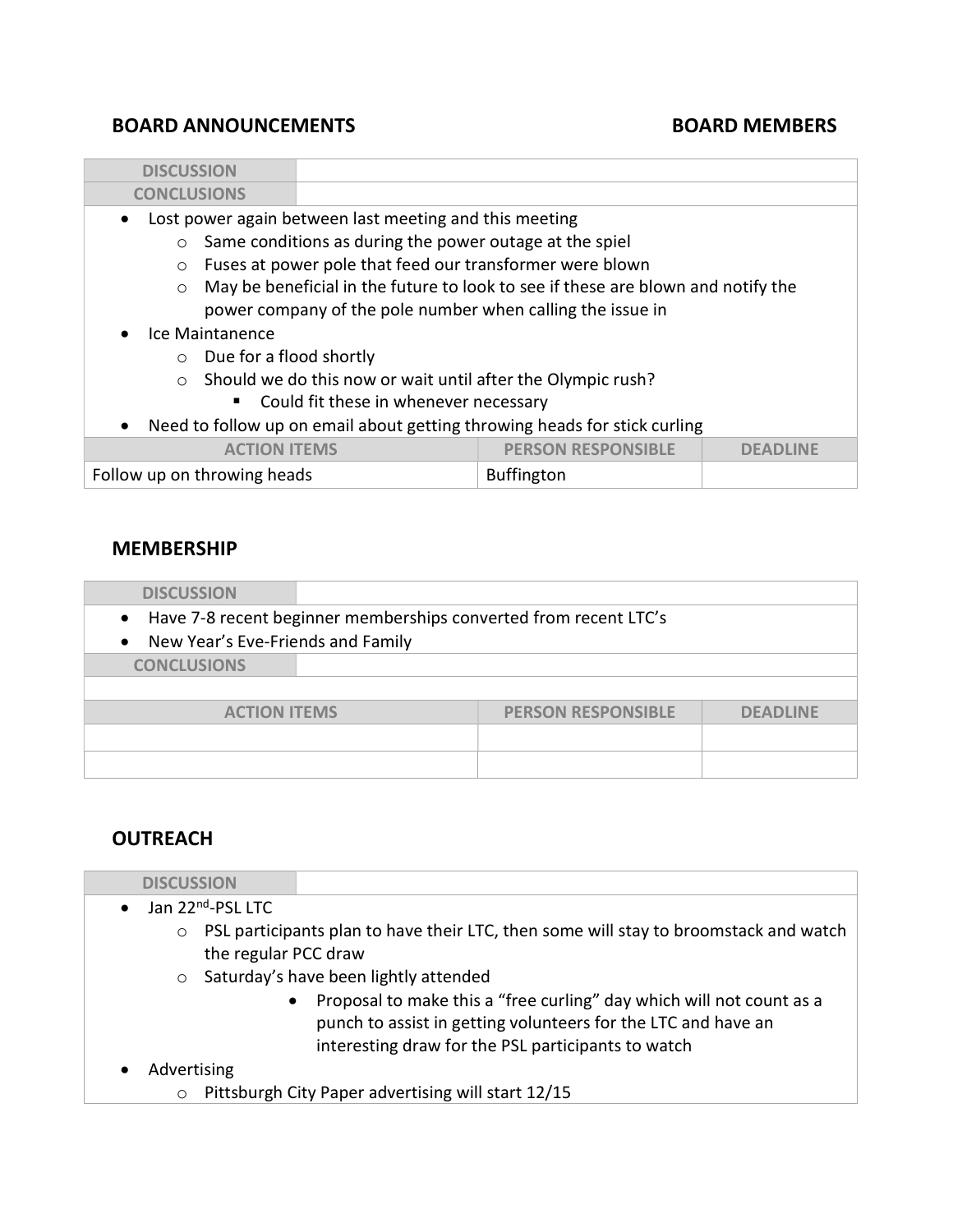## BOARD ANNOUNCEMENTS BOARD MEMBERS

| <b>DISCUSSION</b>                                                                           |                                                                           |  |  |  |  |  |
|---------------------------------------------------------------------------------------------|---------------------------------------------------------------------------|--|--|--|--|--|
| <b>CONCLUSIONS</b>                                                                          |                                                                           |  |  |  |  |  |
| Lost power again between last meeting and this meeting<br>$\bullet$                         |                                                                           |  |  |  |  |  |
| Same conditions as during the power outage at the spiel<br>$\circ$                          |                                                                           |  |  |  |  |  |
| Fuses at power pole that feed our transformer were blown<br>$\circ$                         |                                                                           |  |  |  |  |  |
| May be beneficial in the future to look to see if these are blown and notify the<br>$\circ$ |                                                                           |  |  |  |  |  |
|                                                                                             | power company of the pole number when calling the issue in                |  |  |  |  |  |
| Ice Maintanence                                                                             |                                                                           |  |  |  |  |  |
| Due for a flood shortly<br>$\circ$                                                          |                                                                           |  |  |  |  |  |
| Should we do this now or wait until after the Olympic rush?<br>$\circ$                      |                                                                           |  |  |  |  |  |
| • Could fit these in whenever necessary                                                     |                                                                           |  |  |  |  |  |
| $\bullet$                                                                                   | Need to follow up on email about getting throwing heads for stick curling |  |  |  |  |  |
| <b>PERSON RESPONSIBLE</b><br><b>ACTION ITEMS</b><br>$D$ EADINE                              |                                                                           |  |  |  |  |  |
| Follow up on throwing heads                                                                 | <b>Buffington</b>                                                         |  |  |  |  |  |
|                                                                                             |                                                                           |  |  |  |  |  |

#### MEMBERSHIP

Г

| <b>DISCUSSION</b>                                                  |                                   |                           |                 |  |  |  |  |
|--------------------------------------------------------------------|-----------------------------------|---------------------------|-----------------|--|--|--|--|
| • Have 7-8 recent beginner memberships converted from recent LTC's |                                   |                           |                 |  |  |  |  |
| $\bullet$                                                          | New Year's Eve-Friends and Family |                           |                 |  |  |  |  |
| <b>CONCLUSIONS</b>                                                 |                                   |                           |                 |  |  |  |  |
|                                                                    |                                   |                           |                 |  |  |  |  |
| <b>ACTION ITEMS</b>                                                |                                   | <b>PERSON RESPONSIBLE</b> | <b>DEADLINE</b> |  |  |  |  |
|                                                                    |                                   |                           |                 |  |  |  |  |
|                                                                    |                                   |                           |                 |  |  |  |  |
|                                                                    |                                   |                           |                 |  |  |  |  |

## **OUTREACH**

| <b>DISCUSSION</b>               |                                                                                                                                                                                             |
|---------------------------------|---------------------------------------------------------------------------------------------------------------------------------------------------------------------------------------------|
| Jan 22 <sup>nd</sup> -PSL LTC   |                                                                                                                                                                                             |
| $\circ$<br>the regular PCC draw | PSL participants plan to have their LTC, then some will stay to broomstack and watch                                                                                                        |
|                                 | $\circ$ Saturday's have been lightly attended                                                                                                                                               |
| $\bullet$                       | Proposal to make this a "free curling" day which will not count as a<br>punch to assist in getting volunteers for the LTC and have an<br>interesting draw for the PSL participants to watch |
| Advertising                     |                                                                                                                                                                                             |
| $\circ$                         | Pittsburgh City Paper advertising will start 12/15                                                                                                                                          |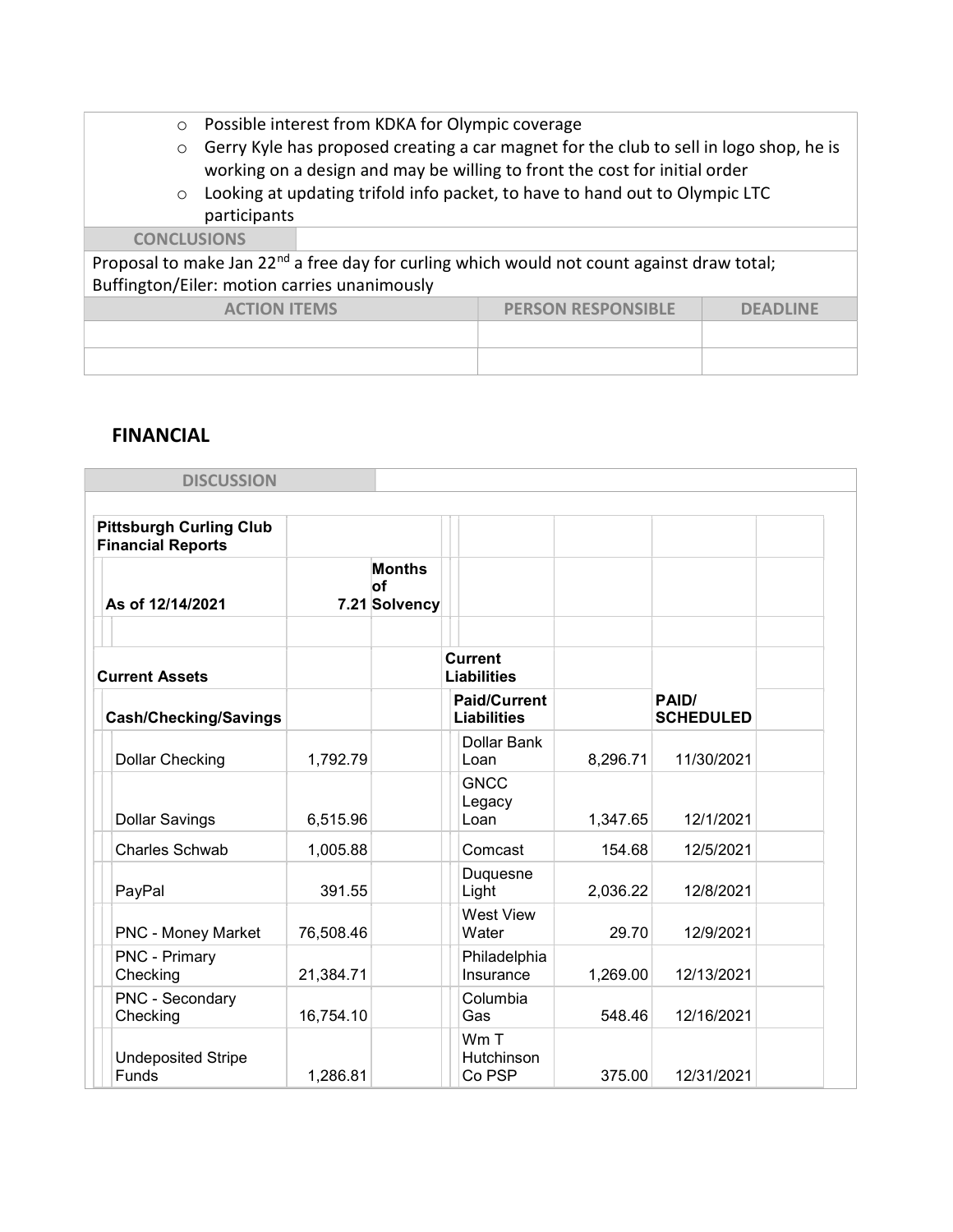- o Possible interest from KDKA for Olympic coverage
- o Gerry Kyle has proposed creating a car magnet for the club to sell in logo shop, he is working on a design and may be willing to front the cost for initial order
- o Looking at updating trifold info packet, to have to hand out to Olympic LTC participants

#### **CONCLUSIONS**

Proposal to make Jan 22<sup>nd</sup> a free day for curling which would not count against draw total; Buffington/Eiler: motion carries unanimously

| <b>ACTION ITEMS</b> | <b>PERSON RESPONSIBLE</b> | <b>DEADLINE</b> |
|---------------------|---------------------------|-----------------|
|                     |                           |                 |
|                     |                           |                 |

#### FINANCIAL

| <b>DISCUSSION</b>                                          |           |                                             |                                           |          |                           |  |
|------------------------------------------------------------|-----------|---------------------------------------------|-------------------------------------------|----------|---------------------------|--|
| <b>Pittsburgh Curling Club</b><br><b>Financial Reports</b> |           |                                             |                                           |          |                           |  |
| As of 12/14/2021                                           |           | <b>Months</b><br><b>of</b><br>7.21 Solvency |                                           |          |                           |  |
| <b>Current Assets</b>                                      |           |                                             | <b>Current</b><br><b>Liabilities</b>      |          |                           |  |
| <b>Cash/Checking/Savings</b>                               |           |                                             | <b>Paid/Current</b><br><b>Liabilities</b> |          | PAID/<br><b>SCHEDULED</b> |  |
| <b>Dollar Checking</b>                                     | 1,792.79  |                                             | Dollar Bank<br>Loan                       | 8,296.71 | 11/30/2021                |  |
| <b>Dollar Savings</b>                                      | 6,515.96  |                                             | <b>GNCC</b><br>Legacy<br>Loan             | 1,347.65 | 12/1/2021                 |  |
| <b>Charles Schwab</b>                                      | 1,005.88  |                                             | Comcast                                   | 154.68   | 12/5/2021                 |  |
| PayPal                                                     | 391.55    |                                             | Duquesne<br>Light                         | 2,036.22 | 12/8/2021                 |  |
| <b>PNC - Money Market</b>                                  | 76,508.46 |                                             | <b>West View</b><br>Water                 | 29.70    | 12/9/2021                 |  |
| PNC - Primary<br>Checking                                  | 21,384.71 |                                             | Philadelphia<br>Insurance                 | 1,269.00 | 12/13/2021                |  |
| PNC - Secondary<br>Checking                                | 16,754.10 |                                             | Columbia<br>Gas                           | 548.46   | 12/16/2021                |  |
| <b>Undeposited Stripe</b><br>Funds                         | 1,286.81  |                                             | Wm T<br>Hutchinson<br>Co PSP              | 375.00   | 12/31/2021                |  |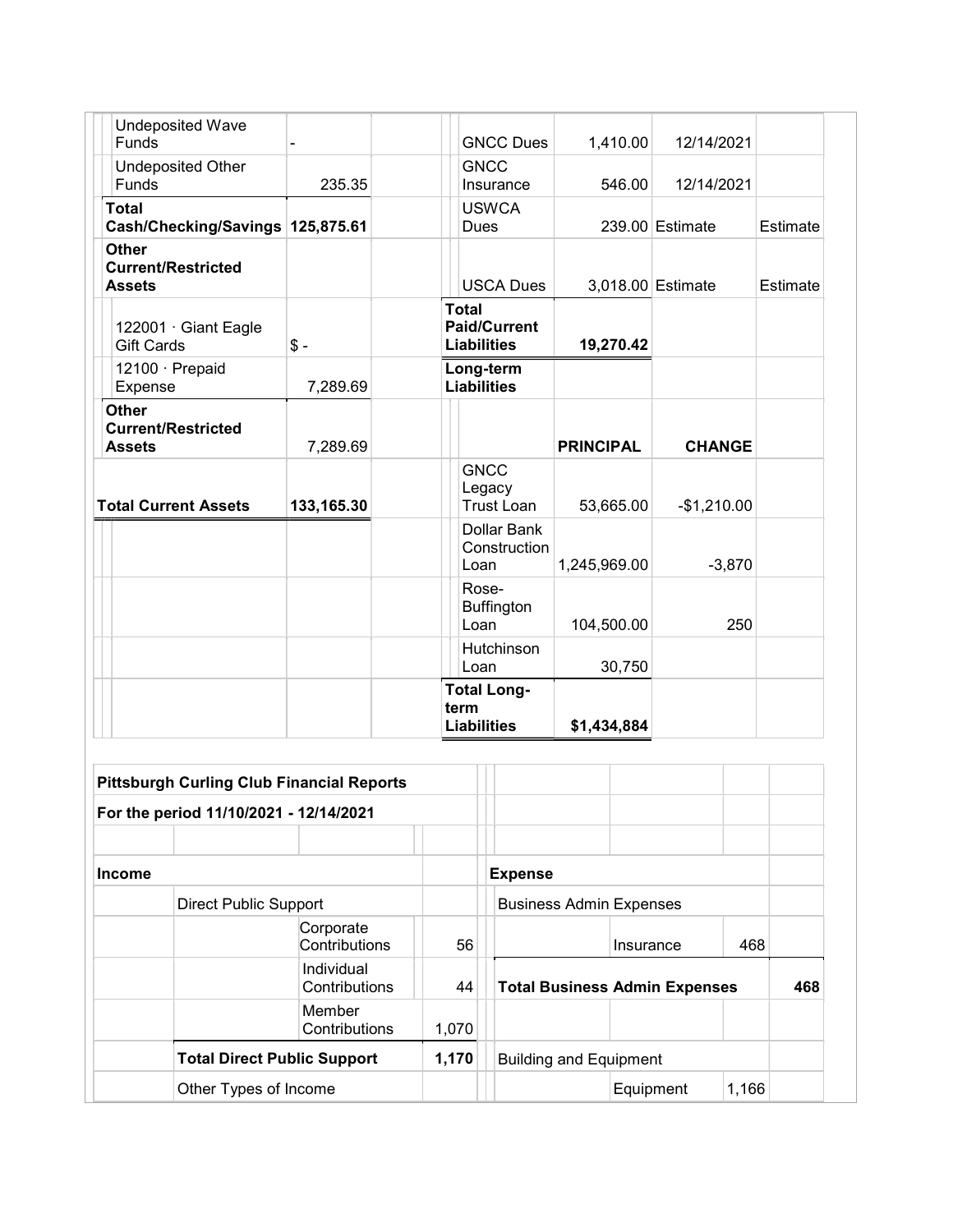| <b>Undeposited Wave</b><br><b>Funds</b>                    |            | <b>GNCC Dues</b>                                          | 1,410.00         | 12/14/2021        |          |
|------------------------------------------------------------|------------|-----------------------------------------------------------|------------------|-------------------|----------|
| <b>Undeposited Other</b><br>Funds                          | 235.35     | <b>GNCC</b><br>Insurance                                  | 546.00           | 12/14/2021        |          |
| <b>Total</b><br>Cash/Checking/Savings 125,875.61           |            | <b>USWCA</b><br><b>Dues</b>                               |                  | 239.00 Estimate   | Estimate |
| <b>Other</b><br><b>Current/Restricted</b><br><b>Assets</b> |            | <b>USCA Dues</b>                                          |                  | 3,018.00 Estimate | Estimate |
| 122001 · Giant Eagle<br><b>Gift Cards</b>                  | $$ -$      | <b>Total</b><br><b>Paid/Current</b><br><b>Liabilities</b> | 19,270.42        |                   |          |
| 12100 · Prepaid<br>Expense                                 | 7,289.69   | Long-term<br><b>Liabilities</b>                           |                  |                   |          |
| <b>Other</b><br><b>Current/Restricted</b><br><b>Assets</b> | 7,289.69   |                                                           | <b>PRINCIPAL</b> | <b>CHANGE</b>     |          |
| <b>Total Current Assets</b>                                | 133,165.30 | <b>GNCC</b><br>Legacy<br><b>Trust Loan</b>                | 53,665.00        | $-$1,210.00$      |          |
|                                                            |            | Dollar Bank<br>Construction<br>Loan                       | 1,245,969.00     | $-3,870$          |          |
|                                                            |            | Rose-<br>Buffington<br>Loan                               | 104,500.00       | 250               |          |
|                                                            |            | Hutchinson<br>Loan                                        | 30,750           |                   |          |
|                                                            |            | <b>Total Long-</b><br>term<br><b>Liabilities</b>          | \$1,434,884      |                   |          |

|               |                                        | <b>Pittsburgh Curling Club Financial Reports</b> |       |                                      |           |       |     |
|---------------|----------------------------------------|--------------------------------------------------|-------|--------------------------------------|-----------|-------|-----|
|               | For the period 11/10/2021 - 12/14/2021 |                                                  |       |                                      |           |       |     |
|               |                                        |                                                  |       |                                      |           |       |     |
| <b>Income</b> |                                        |                                                  |       | <b>Expense</b>                       |           |       |     |
|               | <b>Direct Public Support</b>           |                                                  |       | <b>Business Admin Expenses</b>       |           |       |     |
|               |                                        | Corporate<br>Contributions                       | 56    |                                      | Insurance | 468   |     |
|               |                                        | Individual<br>Contributions                      | 44    | <b>Total Business Admin Expenses</b> |           |       | 468 |
|               |                                        | Member<br>Contributions                          | 1,070 |                                      |           |       |     |
|               | <b>Total Direct Public Support</b>     |                                                  | 1,170 | <b>Building and Equipment</b>        |           |       |     |
|               | Other Types of Income                  |                                                  |       |                                      | Equipment | 1,166 |     |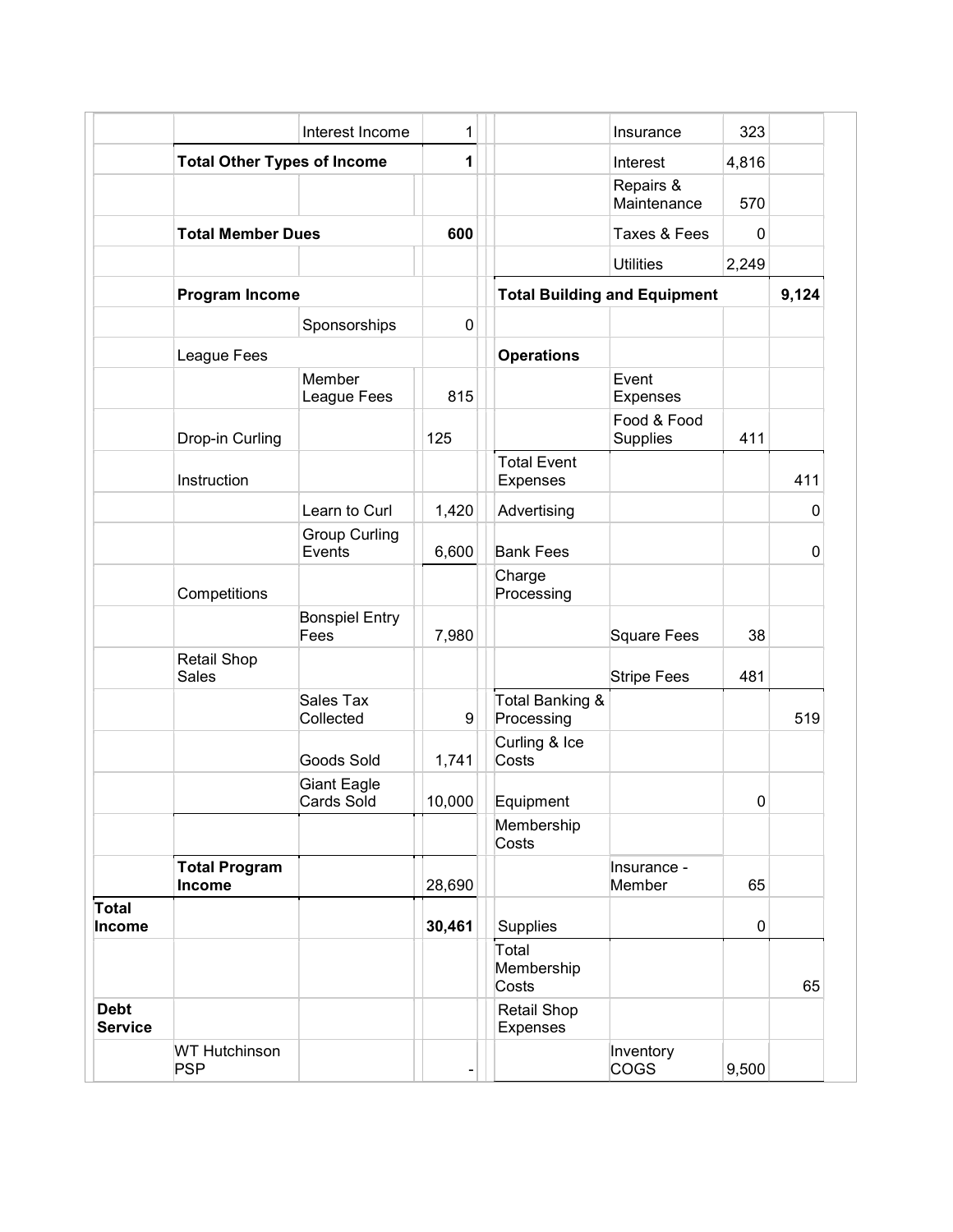|                               |                                    | Interest Income                         | 1           |                                     | Insurance               | 323          |       |
|-------------------------------|------------------------------------|-----------------------------------------|-------------|-------------------------------------|-------------------------|--------------|-------|
|                               | <b>Total Other Types of Income</b> |                                         | 1           |                                     | Interest                | 4,816        |       |
|                               |                                    |                                         |             |                                     | Repairs &               |              |       |
|                               |                                    |                                         |             |                                     | Maintenance             | 570          |       |
|                               | <b>Total Member Dues</b>           |                                         | 600         |                                     | Taxes & Fees            | $\mathbf{0}$ |       |
|                               |                                    |                                         |             |                                     | <b>Utilities</b>        | 2,249        |       |
|                               | Program Income                     |                                         |             | <b>Total Building and Equipment</b> |                         |              | 9,124 |
|                               |                                    | Sponsorships                            | $\mathbf 0$ |                                     |                         |              |       |
|                               | League Fees                        |                                         |             | <b>Operations</b>                   |                         |              |       |
|                               |                                    | Member                                  |             |                                     | Event                   |              |       |
|                               |                                    | League Fees                             | 815         |                                     | <b>Expenses</b>         |              |       |
|                               | Drop-in Curling                    |                                         | 125         |                                     | Food & Food<br>Supplies | 411          |       |
|                               |                                    |                                         |             | <b>Total Event</b>                  |                         |              |       |
|                               | Instruction                        |                                         |             | Expenses                            |                         |              | 411   |
|                               |                                    | Learn to Curl                           | 1,420       | Advertising                         |                         |              | 0     |
|                               |                                    | <b>Group Curling</b><br>Events          | 6,600       | <b>Bank Fees</b>                    |                         |              | 0     |
|                               | Competitions                       |                                         |             | Charge<br>Processing                |                         |              |       |
|                               |                                    | <b>Bonspiel Entry</b><br>Fees           | 7,980       |                                     | <b>Square Fees</b>      | 38           |       |
|                               | Retail Shop<br><b>Sales</b>        |                                         |             |                                     | <b>Stripe Fees</b>      | 481          |       |
|                               |                                    | Sales Tax<br>Collected                  | 9           | Total Banking &<br>Processing       |                         |              | 519   |
|                               |                                    | Goods Sold                              | 1,741       | Curling & Ice<br>Costs              |                         |              |       |
|                               |                                    | <b>Giant Eagle</b><br><b>Cards Sold</b> | 10,000      | Equipment                           |                         | $\mathbf 0$  |       |
|                               |                                    |                                         |             | Membership<br>Costs                 |                         |              |       |
|                               | <b>Total Program</b><br>Income     |                                         | 28,690      |                                     | Insurance -<br>Member   | 65           |       |
| Total                         |                                    |                                         |             |                                     |                         |              |       |
| <b>Income</b>                 |                                    |                                         | 30,461      | Supplies                            |                         | $\mathbf 0$  |       |
|                               |                                    |                                         |             | Total<br>Membership<br>Costs        |                         |              | 65    |
| <b>Debt</b><br><b>Service</b> |                                    |                                         |             | Retail Shop<br>Expenses             |                         |              |       |
|                               | <b>WT Hutchinson</b>               |                                         |             |                                     | Inventory               |              |       |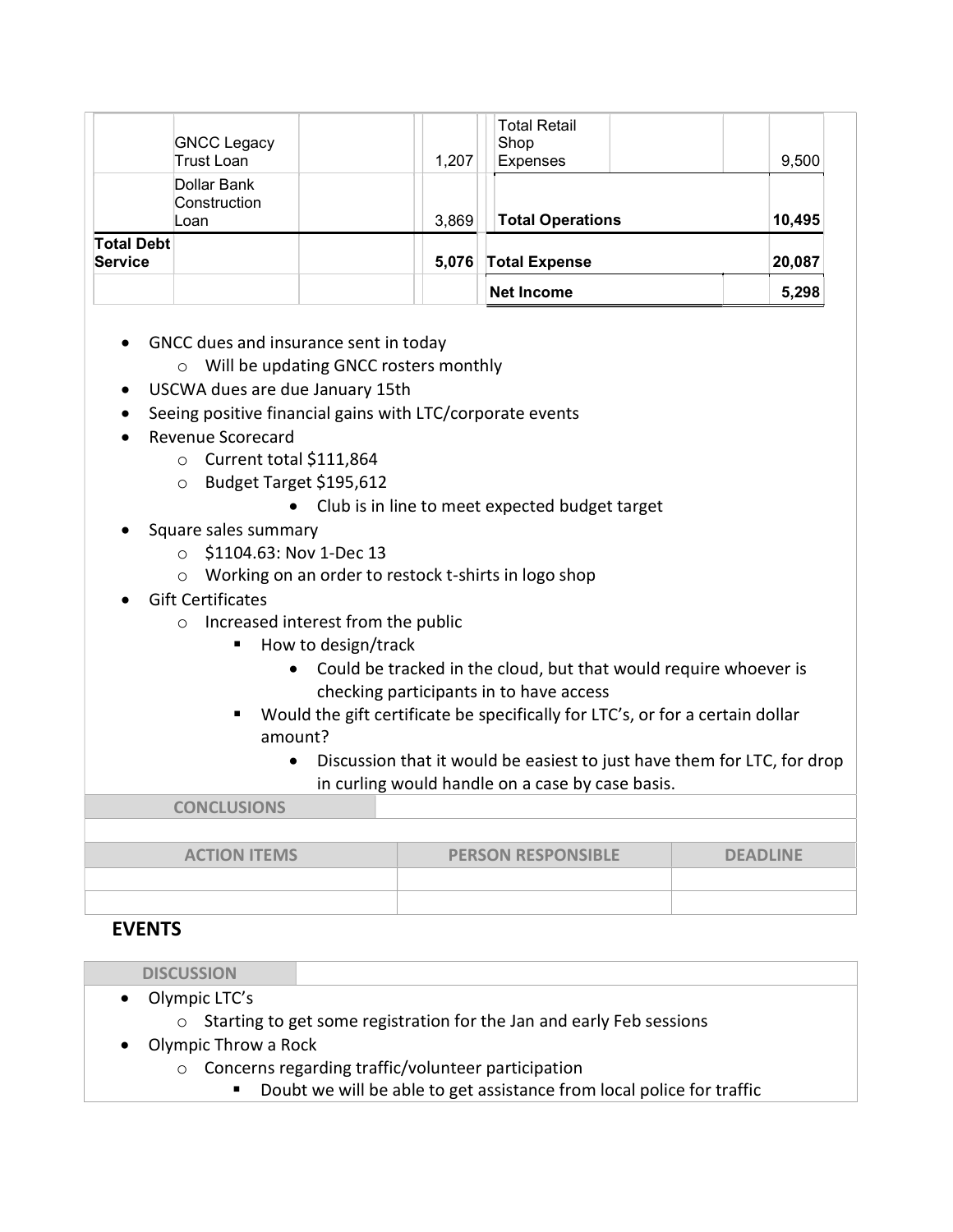|                                     |                                     |       | Net Income                                     | 5,298  |
|-------------------------------------|-------------------------------------|-------|------------------------------------------------|--------|
| <b>Total Debt</b><br><b>Service</b> |                                     | 5,076 | <b>Total Expense</b>                           | 20,087 |
|                                     | Dollar Bank<br>Construction<br>Loan | 3,869 | <b>Total Operations</b>                        | 10,495 |
|                                     | <b>GNCC Legacy</b><br>Trust Loan    | 1,207 | <b>Total Retail</b><br>Shop<br><b>Expenses</b> | 9,500  |

- GNCC dues and insurance sent in today
	- o Will be updating GNCC rosters monthly
- USCWA dues are due January 15th
- Seeing positive financial gains with LTC/corporate events
- Revenue Scorecard
	- o Current total \$111,864
	- o Budget Target \$195,612
		- Club is in line to meet expected budget target
- Square sales summary
	- o \$1104.63: Nov 1-Dec 13
	- o Working on an order to restock t-shirts in logo shop
- Gift Certificates
	- o Increased interest from the public
		- How to design/track
			- Could be tracked in the cloud, but that would require whoever is checking participants in to have access
		- Would the gift certificate be specifically for LTC's, or for a certain dollar amount?
			- Discussion that it would be easiest to just have them for LTC, for drop in curling would handle on a case by case basis.

CONCLUSIONS ACTION ITEMS **PERSON RESPONSIBLE PERSON RESPONSIBLE** 

### EVENTS

|                                   | <b>DISCUSSION</b>                                                      |                                                                      |  |  |  |
|-----------------------------------|------------------------------------------------------------------------|----------------------------------------------------------------------|--|--|--|
|                                   | Olympic LTC's<br>$\bullet$                                             |                                                                      |  |  |  |
|                                   | ○ Starting to get some registration for the Jan and early Feb sessions |                                                                      |  |  |  |
| Olympic Throw a Rock<br>$\bullet$ |                                                                        |                                                                      |  |  |  |
|                                   |                                                                        | $\circ$ Concerns regarding traffic/volunteer participation           |  |  |  |
|                                   |                                                                        | Doubt we will be able to get accidence from local police for traffic |  |  |  |

Doubt we will be able to get assistance from local police for traffic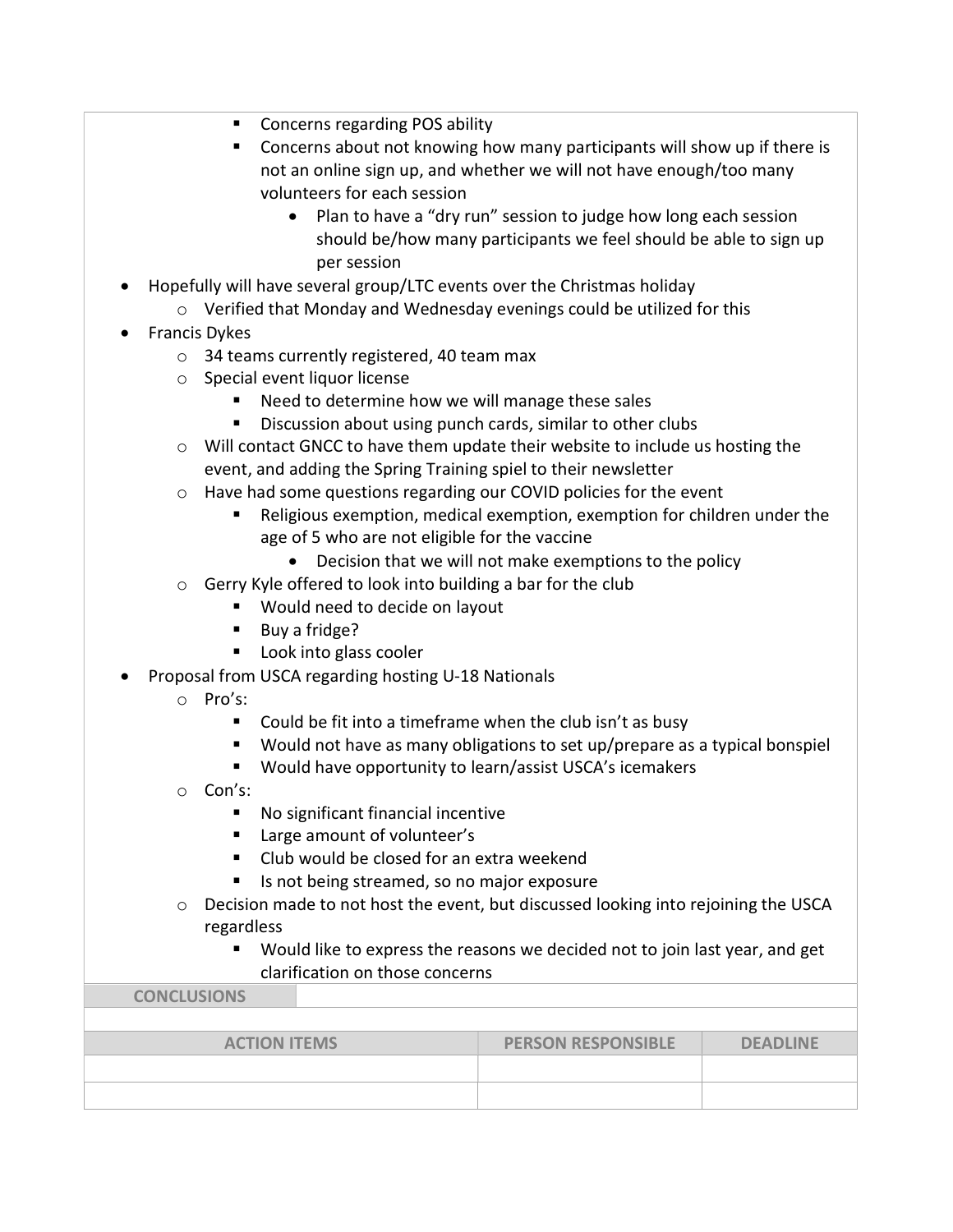- Concerns regarding POS ability
- Concerns about not knowing how many participants will show up if there is not an online sign up, and whether we will not have enough/too many volunteers for each session
	- Plan to have a "dry run" session to judge how long each session should be/how many participants we feel should be able to sign up per session
- Hopefully will have several group/LTC events over the Christmas holiday
	- o Verified that Monday and Wednesday evenings could be utilized for this
- Francis Dykes
	- o 34 teams currently registered, 40 team max
	- o Special event liquor license
		- Need to determine how we will manage these sales
		- **Discussion about using punch cards, similar to other clubs**
	- $\circ$  Will contact GNCC to have them update their website to include us hosting the event, and adding the Spring Training spiel to their newsletter
	- $\circ$  Have had some questions regarding our COVID policies for the event
		- Religious exemption, medical exemption, exemption for children under the age of 5 who are not eligible for the vaccine
			- Decision that we will not make exemptions to the policy
	- o Gerry Kyle offered to look into building a bar for the club
		- **Would need to decide on layout**
		- Buy a fridge?
		- **Look into glass cooler**
- Proposal from USCA regarding hosting U-18 Nationals
	- o Pro's:
		- Could be fit into a timeframe when the club isn't as busy
		- Would not have as many obligations to set up/prepare as a typical bonspiel
		- Would have opportunity to learn/assist USCA's icemakers
	- o Con's:
		- No significant financial incentive
		- Large amount of volunteer's
		- Club would be closed for an extra weekend
		- Is not being streamed, so no major exposure
	- $\circ$  Decision made to not host the event, but discussed looking into rejoining the USCA regardless
		- **Would like to express the reasons we decided not to join last year, and get** clarification on those concerns

CONCLUSIONS

| <b>ACTION ITEMS</b> | <b>PERSON RESPONSIBLE</b> | <b>DEADLINE</b> |
|---------------------|---------------------------|-----------------|
|                     |                           |                 |
|                     |                           |                 |